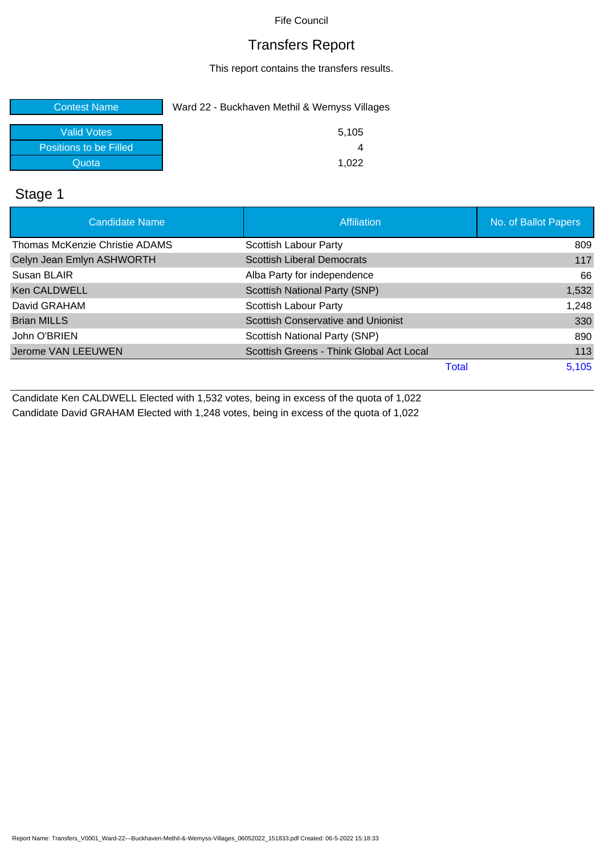## Transfers Report

This report contains the transfers results.

| <b>Contest Name</b>    | Ward 22 - Buckhaven Methil & Wemyss Villages |
|------------------------|----------------------------------------------|
| <b>Valid Votes</b>     | 5.105                                        |
| Positions to be Filled |                                              |
| Quota                  | 1.022                                        |

## Stage 1

| <b>Candidate Name</b>          | Affiliation                               | No. of Ballot Papers |
|--------------------------------|-------------------------------------------|----------------------|
| Thomas McKenzie Christie ADAMS | Scottish Labour Party                     | 809                  |
| Celyn Jean Emlyn ASHWORTH      | <b>Scottish Liberal Democrats</b>         | 117                  |
| Susan BLAIR                    | Alba Party for independence               | 66                   |
| <b>Ken CALDWELL</b>            | Scottish National Party (SNP)             | 1,532                |
| David GRAHAM                   | Scottish Labour Party                     | 1,248                |
| <b>Brian MILLS</b>             | <b>Scottish Conservative and Unionist</b> | 330                  |
| John O'BRIEN                   | Scottish National Party (SNP)             | 890                  |
| Jerome VAN LEEUWEN             | Scottish Greens - Think Global Act Local  | 113                  |
|                                | Total                                     | 5,105                |

Candidate Ken CALDWELL Elected with 1,532 votes, being in excess of the quota of 1,022 Candidate David GRAHAM Elected with 1,248 votes, being in excess of the quota of 1,022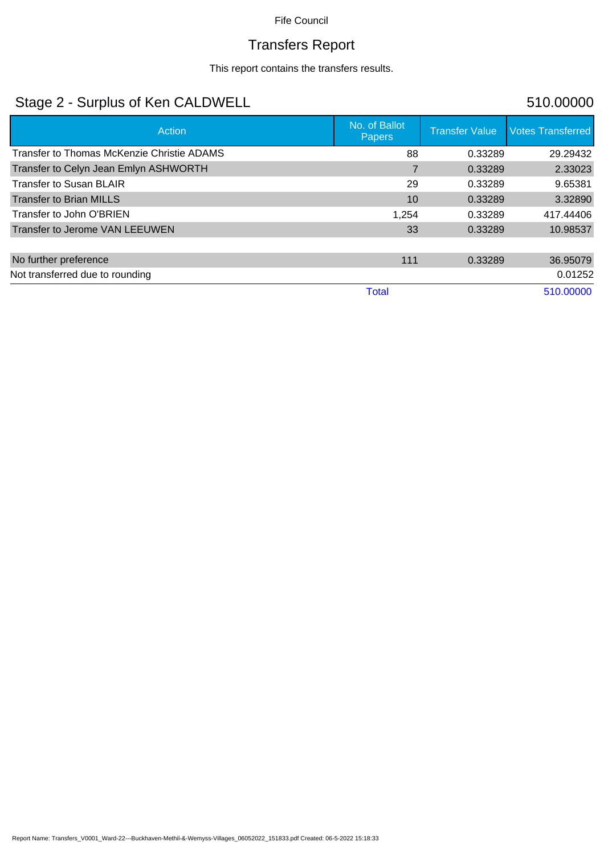# Transfers Report

This report contains the transfers results.

# Stage 2 - Surplus of Ken CALDWELL 510.00000

| <b>Action</b>                              | No. of Ballot<br><b>Papers</b> | <b>Transfer Value</b> | <b>Votes Transferred</b> |
|--------------------------------------------|--------------------------------|-----------------------|--------------------------|
| Transfer to Thomas McKenzie Christie ADAMS | 88                             | 0.33289               | 29.29432                 |
| Transfer to Celyn Jean Emlyn ASHWORTH      |                                | 0.33289               | 2.33023                  |
| <b>Transfer to Susan BLAIR</b>             | 29                             | 0.33289               | 9.65381                  |
| <b>Transfer to Brian MILLS</b>             | 10                             | 0.33289               | 3.32890                  |
| Transfer to John O'BRIEN                   | 1,254                          | 0.33289               | 417.44406                |
| Transfer to Jerome VAN LEEUWEN             | 33                             | 0.33289               | 10.98537                 |
| No further preference                      | 111                            | 0.33289               | 36.95079                 |
| Not transferred due to rounding            |                                |                       | 0.01252                  |
|                                            | <b>Total</b>                   |                       | 510.00000                |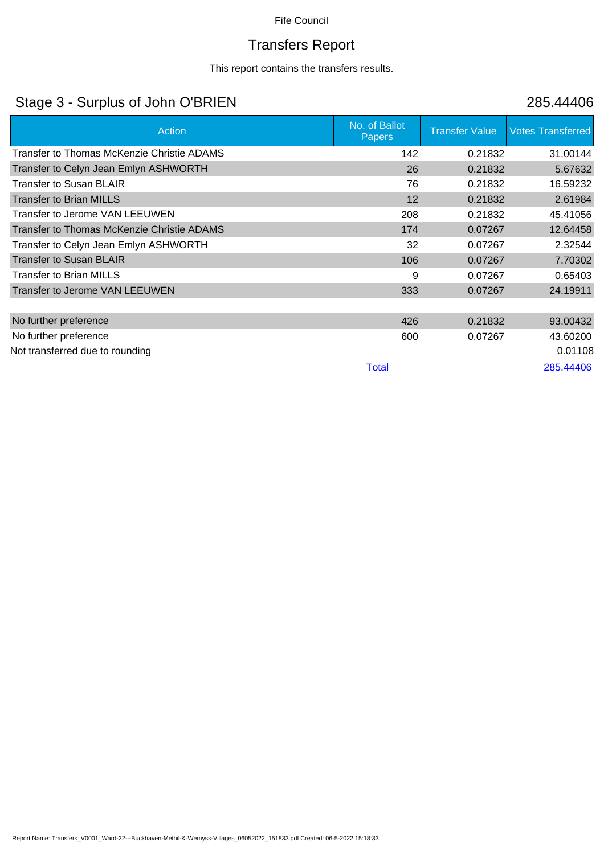# Transfers Report

This report contains the transfers results.

# Stage 3 - Surplus of John O'BRIEN 285.44406

| Action                                     | No. of Ballot<br><b>Papers</b> | <b>Transfer Value</b> | <b>Votes Transferred</b> |
|--------------------------------------------|--------------------------------|-----------------------|--------------------------|
| Transfer to Thomas McKenzie Christie ADAMS | 142                            | 0.21832               | 31.00144                 |
| Transfer to Celyn Jean Emlyn ASHWORTH      | 26                             | 0.21832               | 5.67632                  |
| <b>Transfer to Susan BLAIR</b>             | 76                             | 0.21832               | 16.59232                 |
| <b>Transfer to Brian MILLS</b>             | 12                             | 0.21832               | 2.61984                  |
| Transfer to Jerome VAN LEEUWEN             | 208                            | 0.21832               | 45.41056                 |
| Transfer to Thomas McKenzie Christie ADAMS | 174                            | 0.07267               | 12.64458                 |
| Transfer to Celyn Jean Emlyn ASHWORTH      | 32                             | 0.07267               | 2.32544                  |
| <b>Transfer to Susan BLAIR</b>             | 106                            | 0.07267               | 7.70302                  |
| <b>Transfer to Brian MILLS</b>             | 9                              | 0.07267               | 0.65403                  |
| Transfer to Jerome VAN LEEUWEN             | 333                            | 0.07267               | 24.19911                 |
|                                            |                                |                       |                          |
| No further preference                      | 426                            | 0.21832               | 93.00432                 |
| No further preference                      | 600                            | 0.07267               | 43.60200                 |
| Not transferred due to rounding            |                                |                       | 0.01108                  |
|                                            | <b>Total</b>                   |                       | 285.44406                |